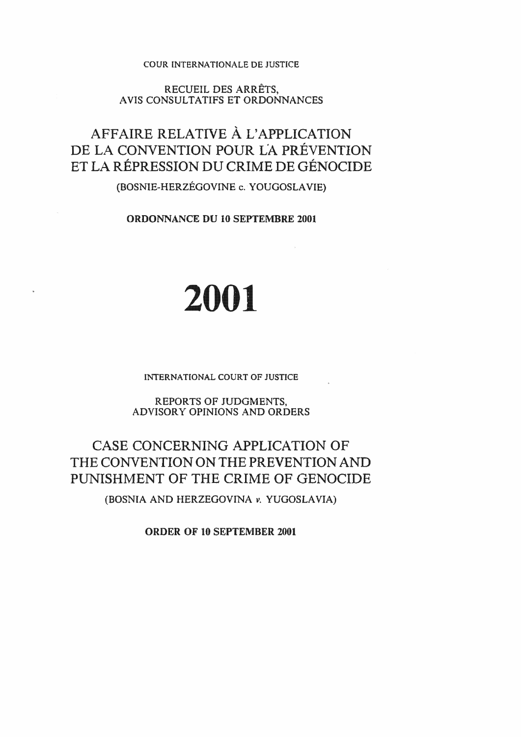## COUR INTERNATIONALE DE JUSTICE

RECUEIL DES ARRETS, AVIS CONSULTATIFS ET ORDONNANCES

# AFFAIRE RELATIVE À L'APPLICATION DE LA CONVENTION POUR LA PRÉVENTION ET LA RÉPRESSION DU CRIME DE GÉNOCIDE

## **(BOSNIE-HERZEGOVINE c. YOUGOSLA VIE)**

**ORDONNANCE DU 10 SEPTEMBRE 2001** 

# 2001

**INTERNATIONAL COURT OF JUSTICE** 

REPORTS OF JUDGMENTS, ADVISORY OPINIONS AND ORDERS

# CASE CONCERNING APPLICATION OF THE CONVENTION ON THE PREVENTION AND PUNISHMENT OF THE CRIME GENOCIDE

(BOSNIA AND HERZEGOVINA *v.* YUGOSLAVIA)

ORDER OF 10 SEPTEMBER 2001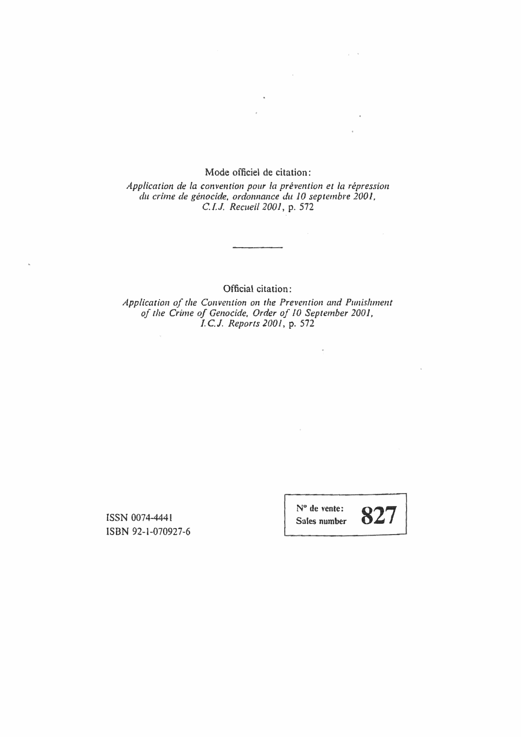## Mode officiel de citation:

 $\mathbf{x}$ 

*Application de la canvencion po11r* la *prevention et la repression du crime de genocide, ordomumce du 10 septembre 2001, C.I.J. Recueil 2001,* p. 572

Official citation:

*Application of the Convention on the Prevention and Punishment of the Crime of Genocide, Order of* JO *September 2001, I. C.* J. *Reports 200 l,* p. 572

ISSN 0074-4441 iSBN 92-1-070927-6

 $\mathbf{v}$ 

N° de vente: Soles number

 $\frac{1}{\sqrt{2}}$ 

 $\mathcal{L}^{\pm}$ 

 $\bar{\mathrm{e}}$ 

 $\chi^2 \to \infty$ 

 $\mathcal{L}_{\text{max}}$  and  $\mathcal{L}_{\text{max}}$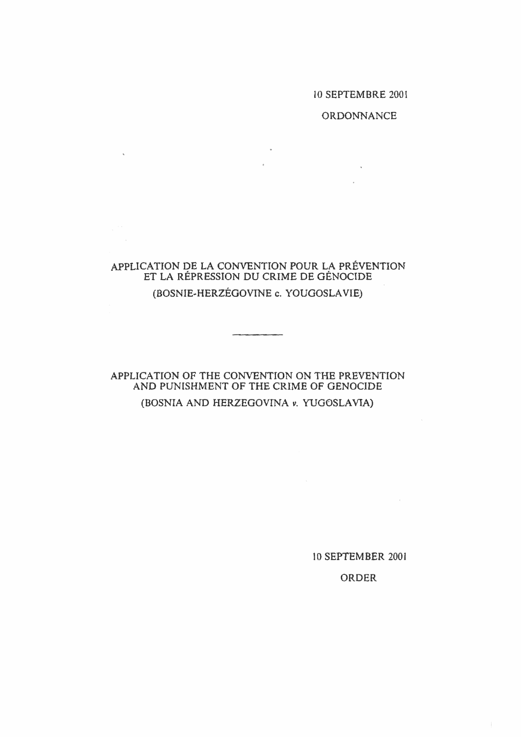## IO SEPTEMBRE 2001

## ORDONNANCE

 $\sim$   $\sim$ 

## APPLICATION DE LA CONVENTION POUR LA PREVENTION ET LA REPRESSION DU CRIME DE GENOCIDE (BOSNIE-HERZEGOVINE c. YOU GOSLAVIE)

 $\mathcal{A}^{\pm}$ 

 $\mathbf{x}^{(i)}$  .

## APPLICATION OF THE CONVENTION ON THE PREVENTION AND PUNISHMENT OF THE CRIME OF GENOCIDE (BOSNIA AND HERZEGOVINA *v.* YUGOSLA V1A)

lO SEPTEMBER 2001

## ORDER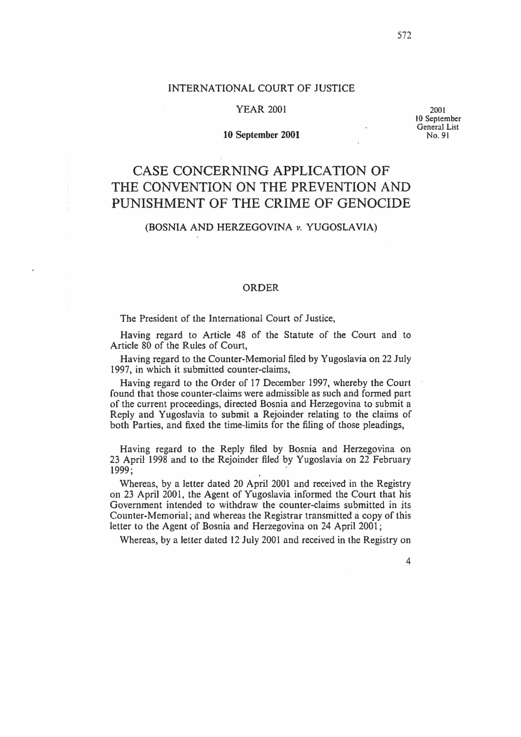## INTERNATIONAL COURT OF JUSTICE

### YEAR 2001

#### 10 September 2001

2001<br>10 September General List No. 91

## CASE CONCERNING APPLICATION OF THE CONVENTION ON THE PREVENTION AND PUNISHMENT OF THE CRIME OF GENOCIDE

## (BOSNIA AND HERZEGOVINA *v.* YUGOSLAVIA)

### ORDER

The President of the International Court of Justice,

Having regard to Article 48 of the Statute of the Court and to Article 80 of the Rules of Court,

Having regard to the Counter-Memorial filed by Yugoslavia on 22 July 1997, in which it submitted counter-claims,

**Having** regard to the Order of 17 December 1997, whereby the Court found that those counter-claims were admissible as such and formed part of the current proceedings, **directed** Bosnia and Herzegovina to submit a Reply and Yugoslavia to submit a Rejoinder relating to the claims of both Parties, and fixed **the** time-limits for the filing of those pleadings,

Having regard to the Reply filed by Bosnia and Herzegovina on 23 April 1998 and to the Rejoinder filed by Yugoslavia on 22 February 1999; ·

Whereas, by a letter dated 20 April 2001 and received in the Registry on 23 April 2001, the Agent of Yugoslavia informed the Court that his Government intended to withdraw the counter-claims submitted in its Counter-Memorial; and whereas the Registrar transmitted a copy of this letter to the Agent of Bosnia and Herzegovina on 24 April 2001;

Whereas, by a letter dated 12 July 2001 and received in the Registry on

572

4